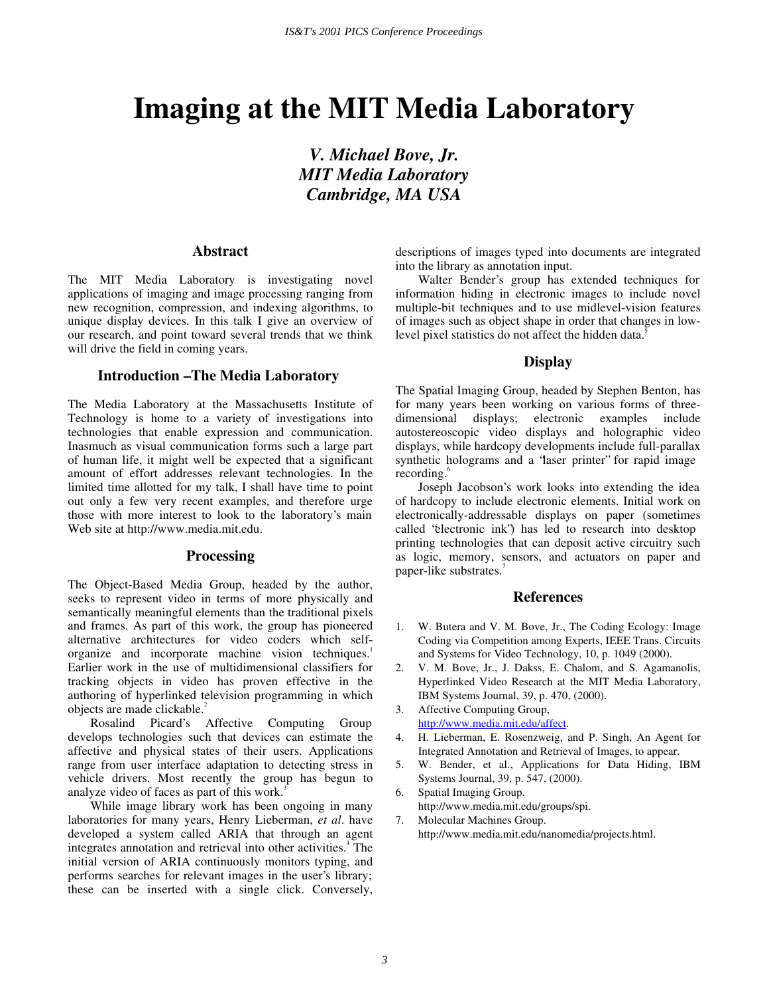# **Imaging at the MIT Media Laboratory**

*V. Michael Bove, Jr. MIT Media Laboratory Cambridge, MA USA* 

## **Abstract**

The MIT Media Laboratory is investigating novel applications of imaging and image processing ranging from new recognition, compression, and indexing algorithms, to unique display devices. In this talk I give an overview of our research, and point toward several trends that we think will drive the field in coming years.

## **Introduction – The Media Laboratory**

The Media Laboratory at the Massachusetts Institute of Technology is home to a variety of investigations into technologies that enable expression and communication. Inasmuch as visual communication forms such a large part of human life, it might well be expected that a significant amount of effort addresses relevant technologies. In the limited time allotted for my talk, I shall have time to point out only a few very recent examples, and therefore urge those with more interest to look to the laboratory's main Web site at http://www.media.mit.edu.

#### **Processing**

The Object-Based Media Group, headed by the author, seeks to represent video in terms of more physically and semantically meaningful elements than the traditional pixels and frames. As part of this work, the group has pioneered alternative architectures for video coders which selforganize and incorporate machine vision techniques.<sup>1</sup> Earlier work in the use of multidimensional classifiers for tracking objects in video has proven effective in the authoring of hyperlinked television programming in which objects are made clickable.<sup>2</sup>

Rosalind Picard's Affective Computing Group develops technologies such that devices can estimate the affective and physical states of their users. Applications range from user interface adaptation to detecting stress in vehicle drivers. Most recently the group has begun to analyze video of faces as part of this work.<sup>3</sup>

While image library work has been ongoing in many laboratories for many years, Henry Lieberman, *et al*. have developed a system called ARIA that through an agent integrates annotation and retrieval into other activities.<sup>4</sup> The initial version of ARIA continuously monitors typing, and performs searches for relevant images in the user's library; these can be inserted with a single click. Conversely,

descriptions of images typed into documents are integrated into the library as annotation input.

Walter Bender's group has extended techniques for information hiding in electronic images to include novel multiple-bit techniques and to use midlevel-vision features of images such as object shape in order that changes in lowlevel pixel statistics do not affect the hidden data.<sup>5</sup>

## **Display**

The Spatial Imaging Group, headed by Stephen Benton, has for many years been working on various forms of threedimensional displays; electronic examples include autostereoscopic video displays and holographic video displays, while hardcopy developments include full-parallax synthetic holograms and a 'laser printer' for rapid image recording.<sup>6</sup>

Joseph Jacobson's work looks into extending the idea of hardcopy to include electronic elements. Initial work on electronically-addressable displays on paper (sometimes called "electronic ink") has led to research into desktop printing technologies that can deposit active circuitry such as logic, memory, sensors, and actuators on paper and paper-like substrates.'

## **References**

- 1. W. Butera and V. M. Bove, Jr., The Coding Ecology: Image Coding via Competition among Experts, IEEE Trans. Circuits and Systems for Video Technology, 10, p. 1049 (2000).
- 2. V. M. Bove, Jr., J. Dakss, E. Chalom, and S. Agamanolis, Hyperlinked Video Research at the MIT Media Laboratory, IBM Systems Journal, 39, p. 470, (2000).
- 3. Affective Computing Group, http://www.media.mit.edu/affect.
- 4. H. Lieberman, E. Rosenzweig, and P. Singh, An Agent for Integrated Annotation and Retrieval of Images, to appear.
- 5. W. Bender, et al., Applications for Data Hiding, IBM Systems Journal, 39, p. 547, (2000).

6. Spatial Imaging Group. http://www.media.mit.edu/groups/spi.

7. Molecular Machines Group. http://www.media.mit.edu/nanomedia/projects.html.